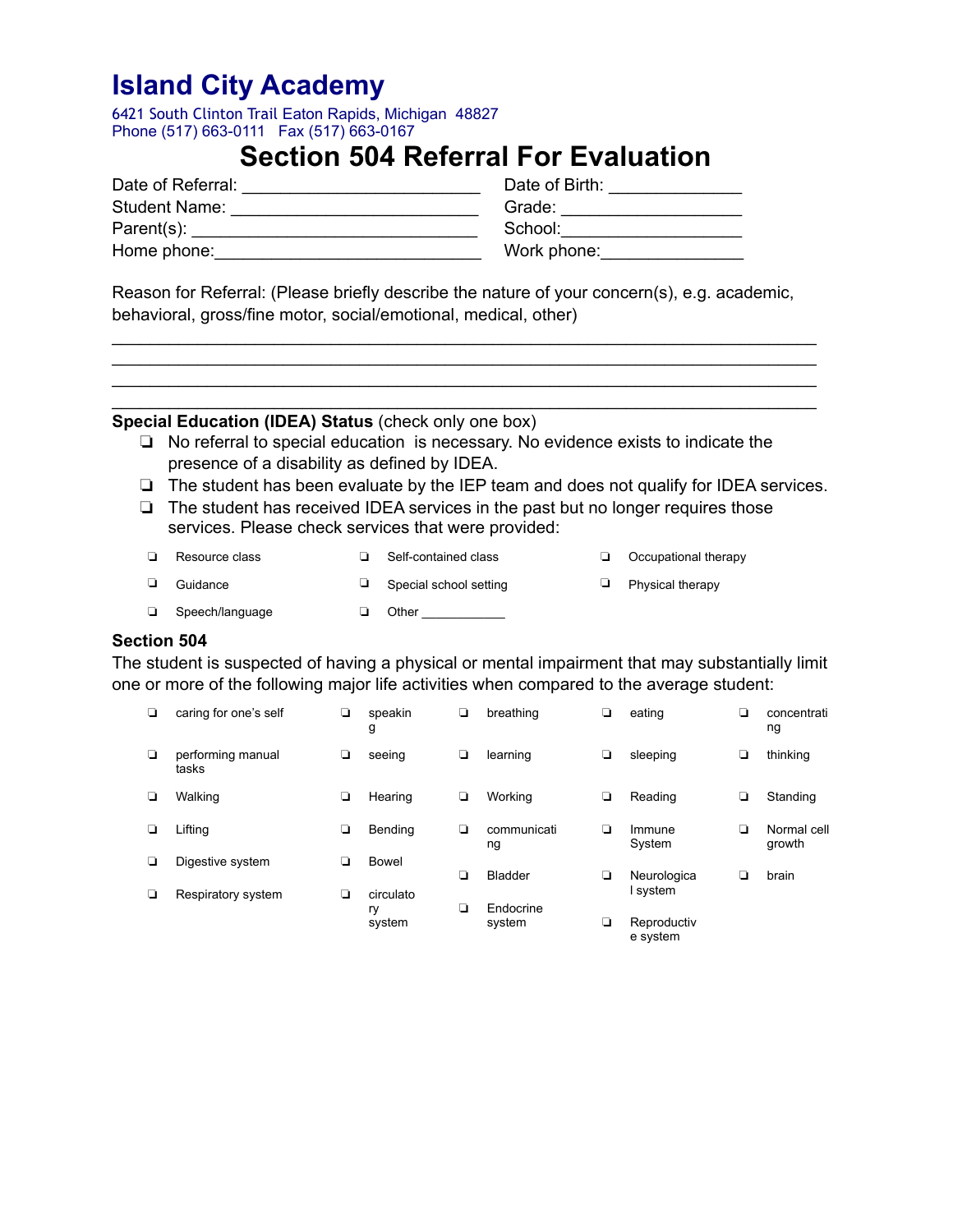6421 South Clinton Trail Eaton Rapids, Michigan 48827 Phone (517) 663-0111 Fax (517) 663-0167

### **Section 504 Referral For Evaluation**

| Date of Referral:    | Date of Birth: |
|----------------------|----------------|
| <b>Student Name:</b> | Grade:         |
| Parent(s):           | School:        |
| Home phone:          | Work phone:    |

Reason for Referral: (Please briefly describe the nature of your concern(s), e.g. academic, behavioral, gross/fine motor, social/emotional, medical, other)

\_\_\_\_\_\_\_\_\_\_\_\_\_\_\_\_\_\_\_\_\_\_\_\_\_\_\_\_\_\_\_\_\_\_\_\_\_\_\_\_\_\_\_\_\_\_\_\_\_\_\_\_\_\_\_\_\_\_\_\_\_\_\_\_\_\_\_\_\_\_\_\_\_\_ \_\_\_\_\_\_\_\_\_\_\_\_\_\_\_\_\_\_\_\_\_\_\_\_\_\_\_\_\_\_\_\_\_\_\_\_\_\_\_\_\_\_\_\_\_\_\_\_\_\_\_\_\_\_\_\_\_\_\_\_\_\_\_\_\_\_\_\_\_\_\_\_\_\_ \_\_\_\_\_\_\_\_\_\_\_\_\_\_\_\_\_\_\_\_\_\_\_\_\_\_\_\_\_\_\_\_\_\_\_\_\_\_\_\_\_\_\_\_\_\_\_\_\_\_\_\_\_\_\_\_\_\_\_\_\_\_\_\_\_\_\_\_\_\_\_\_\_\_ \_\_\_\_\_\_\_\_\_\_\_\_\_\_\_\_\_\_\_\_\_\_\_\_\_\_\_\_\_\_\_\_\_\_\_\_\_\_\_\_\_\_\_\_\_\_\_\_\_\_\_\_\_\_\_\_\_\_\_\_\_\_\_\_\_\_\_\_\_\_\_\_\_\_

### **Special Education (IDEA) Status** (check only one box)

- ❏ No referral to special education is necessary. No evidence exists to indicate the presence of a disability as defined by IDEA.
- ❏ The student has been evaluate by the IEP team and does not qualify for IDEA services.
- ❏ The student has received IDEA services in the past but no longer requires those services. Please check services that were provided:

| Resource class  | Self-contained class   | Occupational therapy |
|-----------------|------------------------|----------------------|
| Guidance        | Special school setting | Physical therapy     |
| Speech/language | Other                  |                      |

### **Section 504**

The student is suspected of having a physical or mental impairment that may substantially limit one or more of the following major life activities when compared to the average student:

| ◘      | caring for one's self      | ❏ | speakin<br>g | ⊔ | breathing         | ❏ | eating                  | ⊔ | concentrati<br>ng     |
|--------|----------------------------|---|--------------|---|-------------------|---|-------------------------|---|-----------------------|
| $\Box$ | performing manual<br>tasks | ◘ | seeing       | ❏ | learning          | ❏ | sleeping                | ⊔ | thinking              |
| ◘      | Walking                    | ❏ | Hearing      | ❏ | Working           | ❏ | Reading                 | ❏ | Standing              |
| □      | Lifting                    | ❏ | Bending      | ◘ | communicati<br>ng | ◘ | Immune<br>System        | ◘ | Normal cell<br>growth |
| ▫      | Digestive system           | ◘ | Bowel        |   |                   |   |                         |   |                       |
|        |                            |   |              | ❏ | <b>Bladder</b>    | ❏ | Neurologica             | ப | brain                 |
| □      | Respiratory system         | ❏ | circulato    |   |                   |   | I system                |   |                       |
|        |                            |   | ry           | ⊔ | Endocrine         |   |                         |   |                       |
|        |                            |   | system       |   | system            | ❏ | Reproductiv<br>e system |   |                       |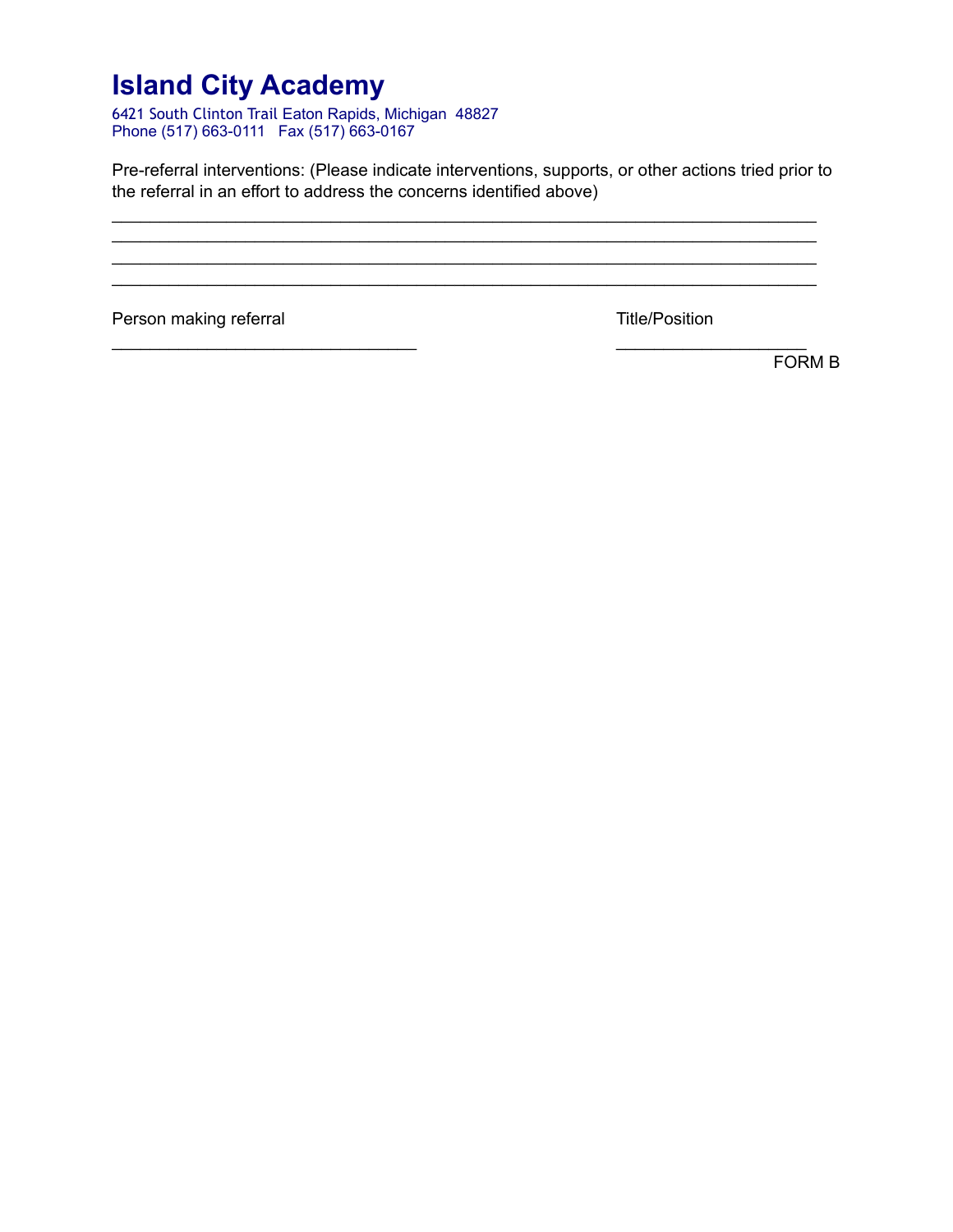6421 South Clinton Trail Eaton Rapids, Michigan 48827 Phone (517) 663-0111 Fax (517) 663-0167

Pre-referral interventions: (Please indicate interventions, supports, or other actions tried prior to the referral in an effort to address the concerns identified above)

\_\_\_\_\_\_\_\_\_\_\_\_\_\_\_\_\_\_\_\_\_\_\_\_\_\_\_\_\_\_\_\_\_\_\_\_\_\_\_\_\_\_\_\_\_\_\_\_\_\_\_\_\_\_\_\_\_\_\_\_\_\_\_\_\_\_\_\_\_\_\_\_\_\_ \_\_\_\_\_\_\_\_\_\_\_\_\_\_\_\_\_\_\_\_\_\_\_\_\_\_\_\_\_\_\_\_\_\_\_\_\_\_\_\_\_\_\_\_\_\_\_\_\_\_\_\_\_\_\_\_\_\_\_\_\_\_\_\_\_\_\_\_\_\_\_\_\_\_ \_\_\_\_\_\_\_\_\_\_\_\_\_\_\_\_\_\_\_\_\_\_\_\_\_\_\_\_\_\_\_\_\_\_\_\_\_\_\_\_\_\_\_\_\_\_\_\_\_\_\_\_\_\_\_\_\_\_\_\_\_\_\_\_\_\_\_\_\_\_\_\_\_\_ \_\_\_\_\_\_\_\_\_\_\_\_\_\_\_\_\_\_\_\_\_\_\_\_\_\_\_\_\_\_\_\_\_\_\_\_\_\_\_\_\_\_\_\_\_\_\_\_\_\_\_\_\_\_\_\_\_\_\_\_\_\_\_\_\_\_\_\_\_\_\_\_\_\_

 $\frac{1}{2}$  ,  $\frac{1}{2}$  ,  $\frac{1}{2}$  ,  $\frac{1}{2}$  ,  $\frac{1}{2}$  ,  $\frac{1}{2}$  ,  $\frac{1}{2}$  ,  $\frac{1}{2}$  ,  $\frac{1}{2}$  ,  $\frac{1}{2}$  ,  $\frac{1}{2}$  ,  $\frac{1}{2}$  ,  $\frac{1}{2}$  ,  $\frac{1}{2}$  ,  $\frac{1}{2}$  ,  $\frac{1}{2}$  ,  $\frac{1}{2}$  ,  $\frac{1}{2}$  ,  $\frac{1$ 

Person making referral Title/Position

FORM B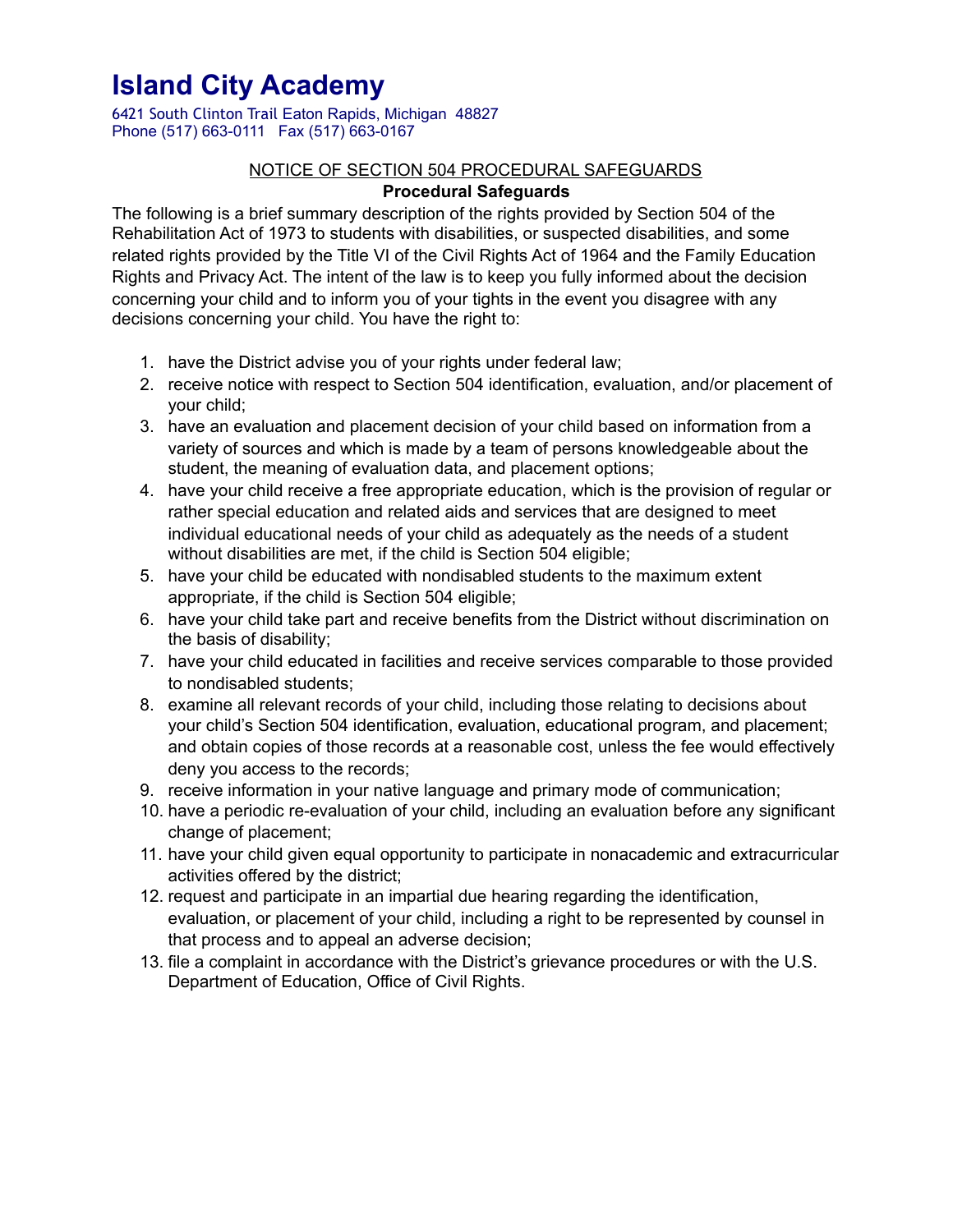6421 South Clinton Trail Eaton Rapids, Michigan 48827 Phone (517) 663-0111 Fax (517) 663-0167

### NOTICE OF SECTION 504 PROCEDURAL SAFEGUARDS **Procedural Safeguards**

The following is a brief summary description of the rights provided by Section 504 of the Rehabilitation Act of 1973 to students with disabilities, or suspected disabilities, and some related rights provided by the Title VI of the Civil Rights Act of 1964 and the Family Education Rights and Privacy Act. The intent of the law is to keep you fully informed about the decision concerning your child and to inform you of your tights in the event you disagree with any decisions concerning your child. You have the right to:

- 1. have the District advise you of your rights under federal law;
- 2. receive notice with respect to Section 504 identification, evaluation, and/or placement of your child;
- 3. have an evaluation and placement decision of your child based on information from a variety of sources and which is made by a team of persons knowledgeable about the student, the meaning of evaluation data, and placement options;
- 4. have your child receive a free appropriate education, which is the provision of regular or rather special education and related aids and services that are designed to meet individual educational needs of your child as adequately as the needs of a student without disabilities are met, if the child is Section 504 eligible;
- 5. have your child be educated with nondisabled students to the maximum extent appropriate, if the child is Section 504 eligible;
- 6. have your child take part and receive benefits from the District without discrimination on the basis of disability;
- 7. have your child educated in facilities and receive services comparable to those provided to nondisabled students;
- 8. examine all relevant records of your child, including those relating to decisions about your child's Section 504 identification, evaluation, educational program, and placement; and obtain copies of those records at a reasonable cost, unless the fee would effectively deny you access to the records;
- 9. receive information in your native language and primary mode of communication;
- 10. have a periodic re-evaluation of your child, including an evaluation before any significant change of placement;
- 11. have your child given equal opportunity to participate in nonacademic and extracurricular activities offered by the district;
- 12. request and participate in an impartial due hearing regarding the identification, evaluation, or placement of your child, including a right to be represented by counsel in that process and to appeal an adverse decision;
- 13. file a complaint in accordance with the District's grievance procedures or with the U.S. Department of Education, Office of Civil Rights.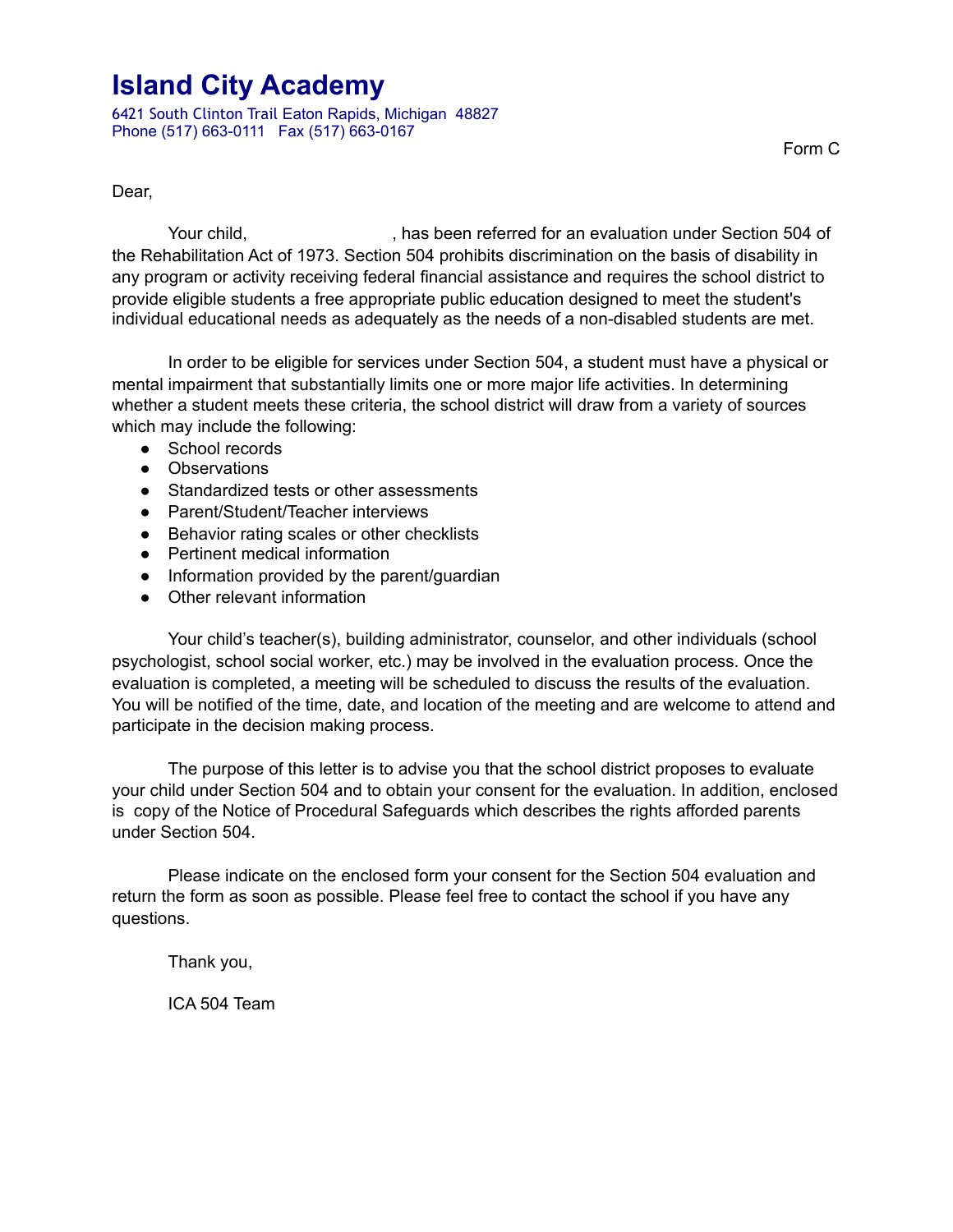6421 South Clinton Trail Eaton Rapids, Michigan 48827 Phone (517) 663-0111 Fax (517) 663-0167

Form C

Dear,

Your child, Thas been referred for an evaluation under Section 504 of the Rehabilitation Act of 1973. Section 504 prohibits discrimination on the basis of disability in any program or activity receiving federal financial assistance and requires the school district to provide eligible students a free appropriate public education designed to meet the student's individual educational needs as adequately as the needs of a non-disabled students are met.

 In order to be eligible for services under Section 504, a student must have a physical or mental impairment that substantially limits one or more major life activities. In determining whether a student meets these criteria, the school district will draw from a variety of sources which may include the following:

- School records
- Observations
- Standardized tests or other assessments
- Parent/Student/Teacher interviews
- Behavior rating scales or other checklists
- Pertinent medical information
- Information provided by the parent/guardian
- Other relevant information

 Your child's teacher(s), building administrator, counselor, and other individuals (school psychologist, school social worker, etc.) may be involved in the evaluation process. Once the evaluation is completed, a meeting will be scheduled to discuss the results of the evaluation. You will be notified of the time, date, and location of the meeting and are welcome to attend and participate in the decision making process.

The purpose of this letter is to advise you that the school district proposes to evaluate your child under Section 504 and to obtain your consent for the evaluation. In addition, enclosed is copy of the Notice of Procedural Safeguards which describes the rights afforded parents under Section 504.

Please indicate on the enclosed form your consent for the Section 504 evaluation and return the form as soon as possible. Please feel free to contact the school if you have any questions.

Thank you,

ICA 504 Team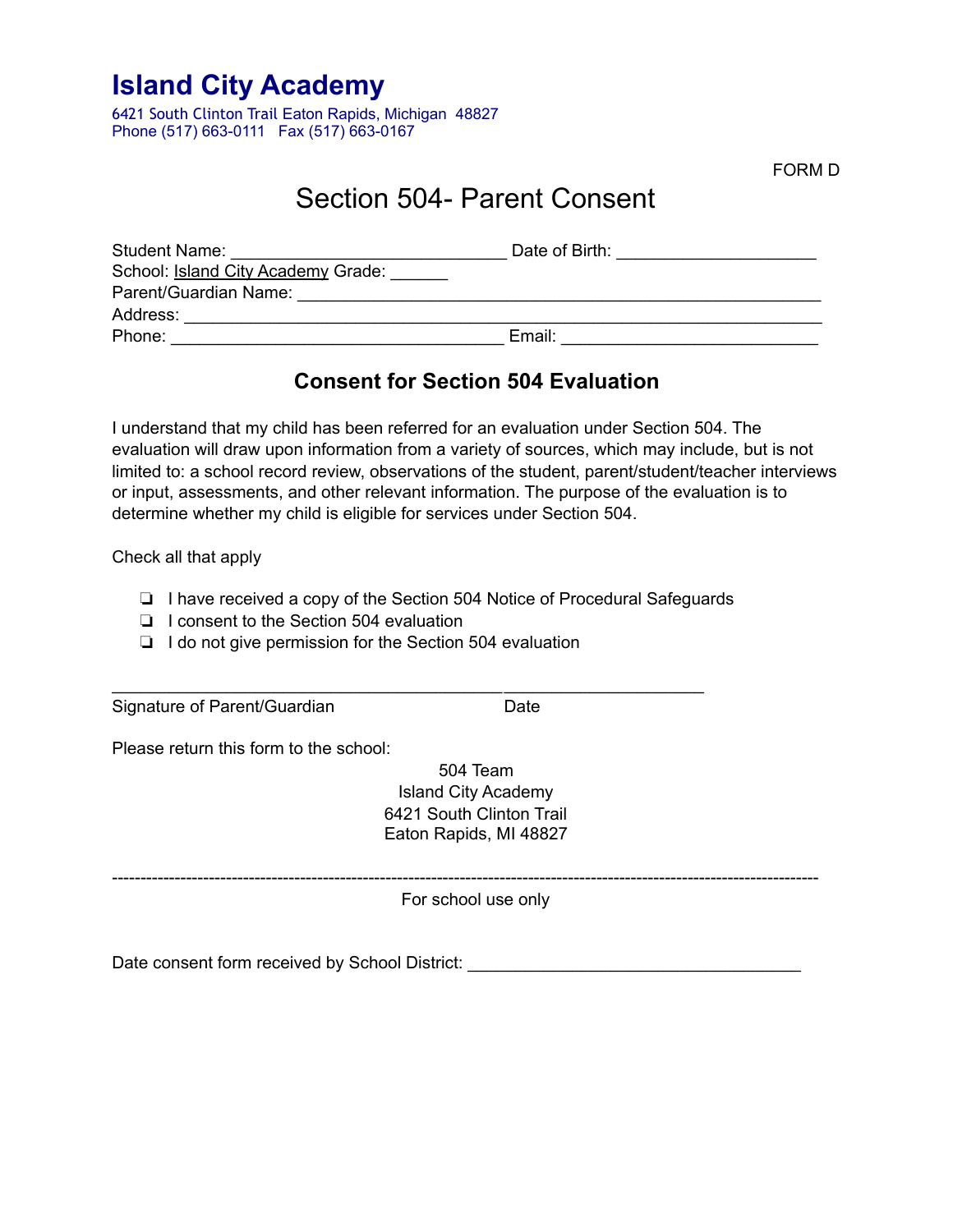6421 South Clinton Trail Eaton Rapids, Michigan 48827 Phone (517) 663-0111 Fax (517) 663-0167

FORM D

### Section 504- Parent Consent

| <b>Student Name:</b>               | Date of Birth: |
|------------------------------------|----------------|
| School: Island City Academy Grade: |                |
| Parent/Guardian Name:              |                |
| Address:                           |                |
| Phone:                             | Email:         |

### **Consent for Section 504 Evaluation**

I understand that my child has been referred for an evaluation under Section 504. The evaluation will draw upon information from a variety of sources, which may include, but is not limited to: a school record review, observations of the student, parent/student/teacher interviews or input, assessments, and other relevant information. The purpose of the evaluation is to determine whether my child is eligible for services under Section 504.

Check all that apply

❏ I have received a copy of the Section 504 Notice of Procedural Safeguards

\_\_\_\_\_\_\_\_\_\_\_\_\_\_\_\_\_\_\_\_\_\_\_\_\_\_\_\_\_\_\_\_\_\_\_\_\_\_\_\_\_ \_\_\_\_\_\_\_\_\_\_\_\_\_\_\_\_\_\_\_\_\_

- ❏ I consent to the Section 504 evaluation
- ❏ I do not give permission for the Section 504 evaluation

Signature of Parent/Guardian Date

Please return this form to the school:

504 Team Island City Academy 6421 South Clinton Trail Eaton Rapids, MI 48827

----------------------------------------------------------------------------------------------------------------------------

For school use only

Date consent form received by School District: \_\_\_\_\_\_\_\_\_\_\_\_\_\_\_\_\_\_\_\_\_\_\_\_\_\_\_\_\_\_\_\_\_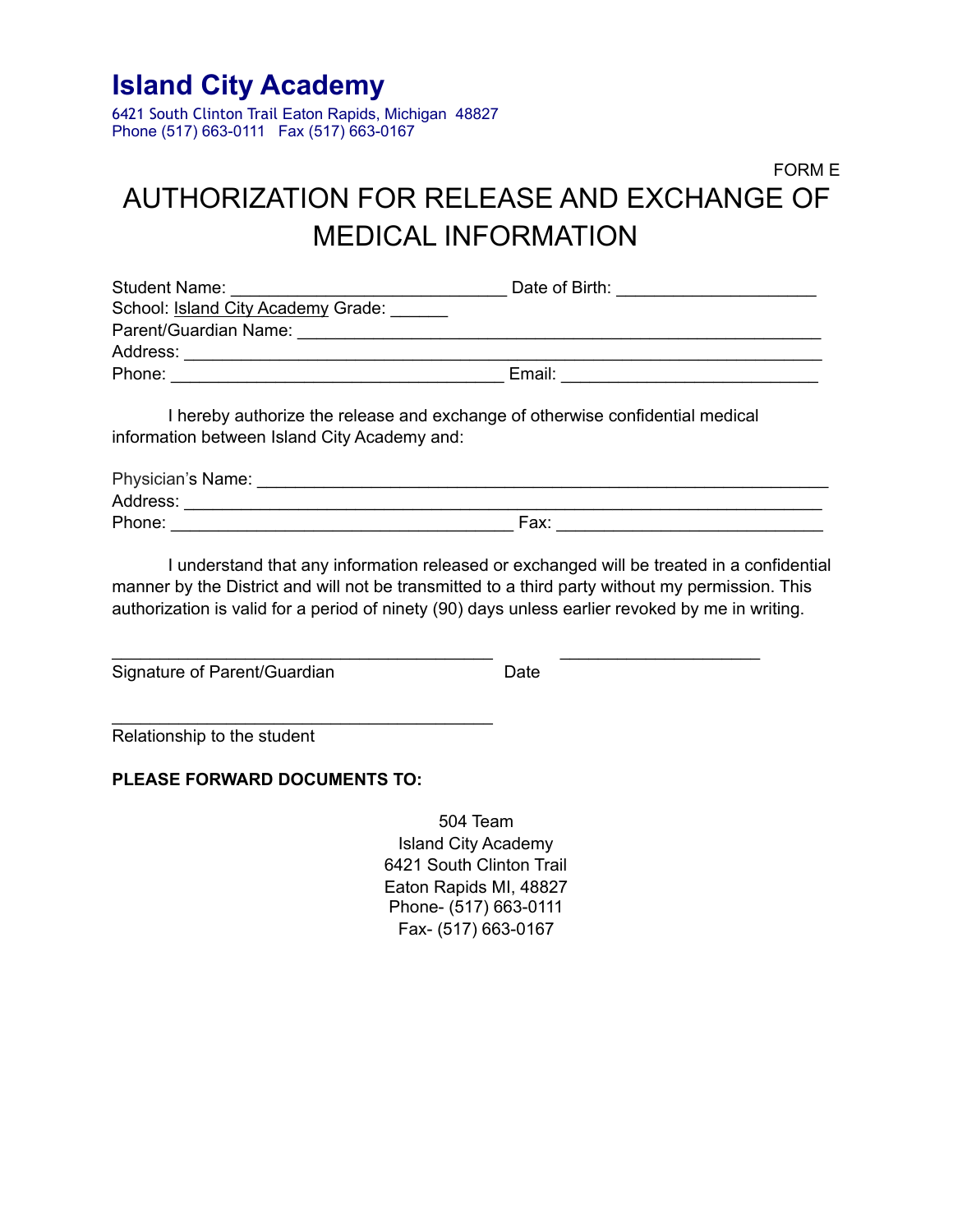6421 South Clinton Trail Eaton Rapids, Michigan 48827 Phone (517) 663-0111 Fax (517) 663-0167

### FORM E AUTHORIZATION FOR RELEASE AND EXCHANGE OF MEDICAL INFORMATION

| <b>Student Name:</b>               | Date of Birth: |
|------------------------------------|----------------|
| School: Island City Academy Grade: |                |
| Parent/Guardian Name:              |                |
| Address:                           |                |
| Phone:                             | Email:         |

 I hereby authorize the release and exchange of otherwise confidential medical information between Island City Academy and:

\_\_\_\_\_\_\_\_\_\_\_\_\_\_\_\_\_\_\_\_\_\_\_\_\_\_\_\_\_\_\_\_\_\_\_\_\_\_\_\_ \_\_\_\_\_\_\_\_\_\_\_\_\_\_\_\_\_\_\_\_\_

| Physician's Name: |      |  |
|-------------------|------|--|
| Address:          |      |  |
| Phone:            | Fax: |  |

 I understand that any information released or exchanged will be treated in a confidential manner by the District and will not be transmitted to a third party without my permission. This authorization is valid for a period of ninety (90) days unless earlier revoked by me in writing.

Signature of Parent/Guardian Date

Relationship to the student

### **PLEASE FORWARD DOCUMENTS TO:**

\_\_\_\_\_\_\_\_\_\_\_\_\_\_\_\_\_\_\_\_\_\_\_\_\_\_\_\_\_\_\_\_\_\_\_\_\_\_\_\_

504 Team Island City Academy 6421 South Clinton Trail Eaton Rapids MI, 48827 Phone- (517) 663-0111 Fax- (517) 663-0167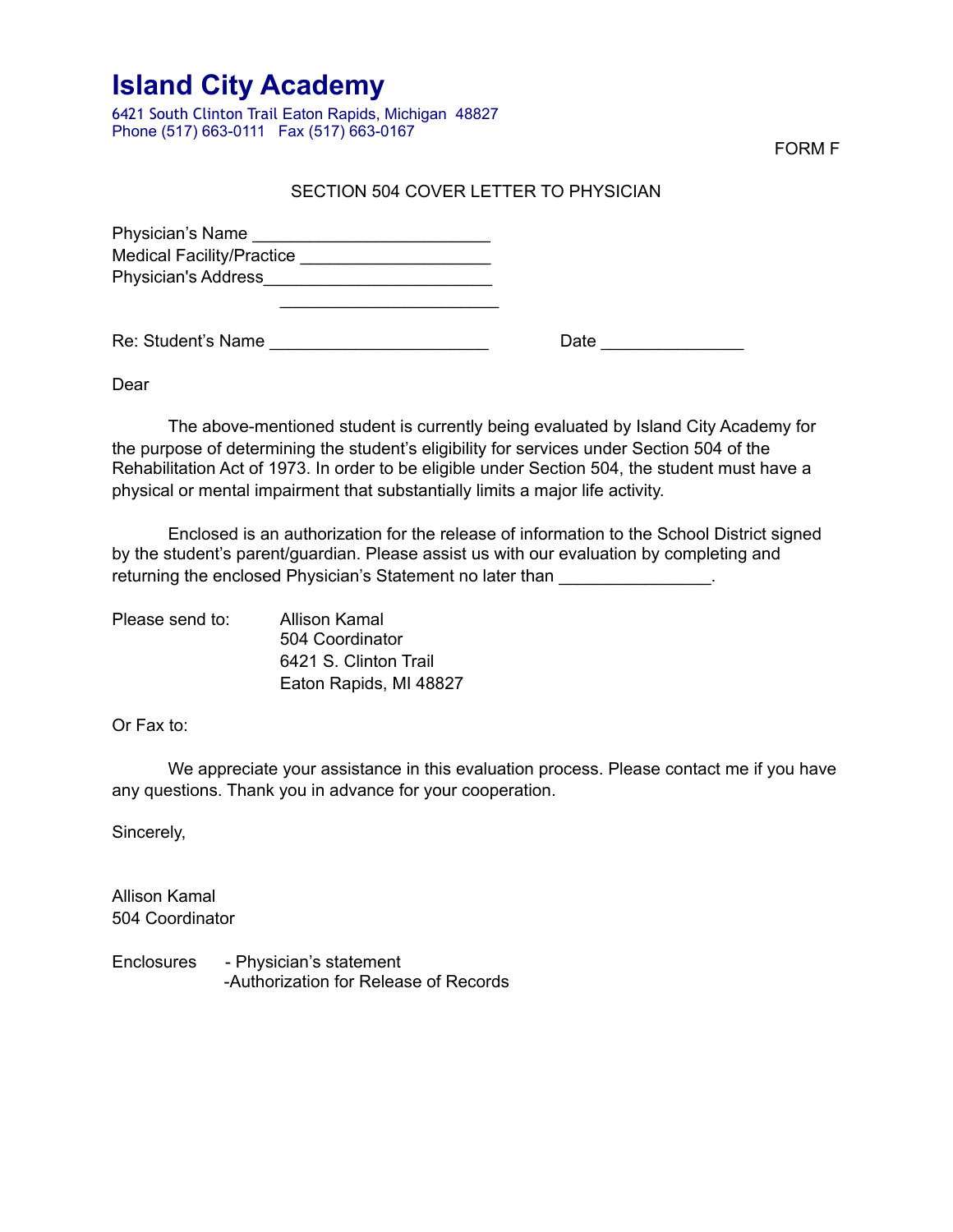6421 South Clinton Trail Eaton Rapids, Michigan 48827 Phone (517) 663-0111 Fax (517) 663-0167

FORM F

### SECTION 504 COVER LETTER TO PHYSICIAN

Physician's Name \_\_\_\_\_\_\_\_\_\_\_\_\_\_\_\_\_\_\_\_\_\_\_\_\_ Medical Facility/Practice \_\_\_\_\_\_\_\_\_\_\_\_\_\_\_\_\_\_\_\_ Physician's Address\_\_\_\_\_\_\_\_\_\_\_\_\_\_\_\_\_\_\_\_\_\_\_\_  $\overline{\phantom{a}}$  , and the contract of the contract of the contract of the contract of the contract of the contract of the contract of the contract of the contract of the contract of the contract of the contract of the contrac

Re: Student's Name \_\_\_\_\_\_\_\_\_\_\_\_\_\_\_\_\_\_\_\_\_\_\_ Date \_\_\_\_\_\_\_\_\_\_\_\_\_\_\_

Dear

 The above-mentioned student is currently being evaluated by Island City Academy for the purpose of determining the student's eligibility for services under Section 504 of the Rehabilitation Act of 1973. In order to be eligible under Section 504, the student must have a physical or mental impairment that substantially limits a major life activity.

 Enclosed is an authorization for the release of information to the School District signed by the student's parent/guardian. Please assist us with our evaluation by completing and returning the enclosed Physician's Statement no later than

| Please send to: | <b>Allison Kamal</b>   |
|-----------------|------------------------|
|                 | 504 Coordinator        |
|                 | 6421 S. Clinton Trail  |
|                 | Eaton Rapids, MI 48827 |

Or Fax to:

 We appreciate your assistance in this evaluation process. Please contact me if you have any questions. Thank you in advance for your cooperation.

Sincerely,

Allison Kamal 504 Coordinator

Enclosures - Physician's statement -Authorization for Release of Records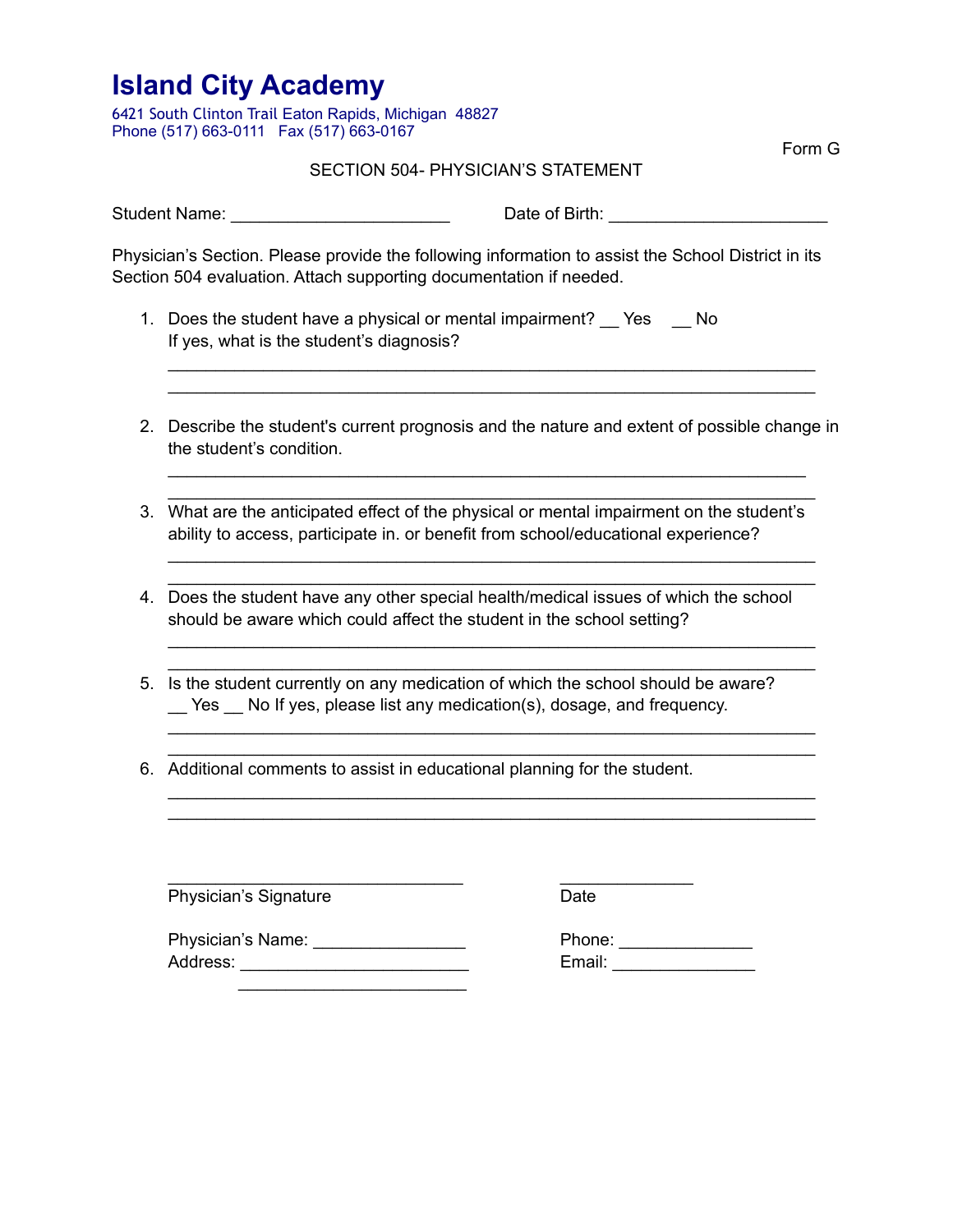6421 South Clinton Trail Eaton Rapids, Michigan 48827 Phone (517) 663-0111 Fax (517) 663-0167

Form G

#### SECTION 504- PHYSICIAN'S STATEMENT

Student Name: \_\_\_\_\_\_\_\_\_\_\_\_\_\_\_\_\_\_\_\_\_\_\_ Date of Birth: \_\_\_\_\_\_\_\_\_\_\_\_\_\_\_\_\_\_\_\_\_\_\_

Physician's Section. Please provide the following information to assist the School District in its Section 504 evaluation. Attach supporting documentation if needed.

- 1. Does the student have a physical or mental impairment? \_\_ Yes \_\_ No If yes, what is the student's diagnosis?
- 2. Describe the student's current prognosis and the nature and extent of possible change in the student's condition.

\_\_\_\_\_\_\_\_\_\_\_\_\_\_\_\_\_\_\_\_\_\_\_\_\_\_\_\_\_\_\_\_\_\_\_\_\_\_\_\_\_\_\_\_\_\_\_\_\_\_\_\_\_\_\_\_\_\_\_\_\_\_\_\_\_\_\_ \_\_\_\_\_\_\_\_\_\_\_\_\_\_\_\_\_\_\_\_\_\_\_\_\_\_\_\_\_\_\_\_\_\_\_\_\_\_\_\_\_\_\_\_\_\_\_\_\_\_\_\_\_\_\_\_\_\_\_\_\_\_\_\_\_\_\_\_

\_\_\_\_\_\_\_\_\_\_\_\_\_\_\_\_\_\_\_\_\_\_\_\_\_\_\_\_\_\_\_\_\_\_\_\_\_\_\_\_\_\_\_\_\_\_\_\_\_\_\_\_\_\_\_\_\_\_\_\_\_\_\_\_\_\_\_\_

\_\_\_\_\_\_\_\_\_\_\_\_\_\_\_\_\_\_\_\_\_\_\_\_\_\_\_\_\_\_\_\_\_\_\_\_\_\_\_\_\_\_\_\_\_\_\_\_\_\_\_\_\_\_\_\_\_\_\_\_\_\_\_\_\_\_\_\_ \_\_\_\_\_\_\_\_\_\_\_\_\_\_\_\_\_\_\_\_\_\_\_\_\_\_\_\_\_\_\_\_\_\_\_\_\_\_\_\_\_\_\_\_\_\_\_\_\_\_\_\_\_\_\_\_\_\_\_\_\_\_\_\_\_\_\_\_

\_\_\_\_\_\_\_\_\_\_\_\_\_\_\_\_\_\_\_\_\_\_\_\_\_\_\_\_\_\_\_\_\_\_\_\_\_\_\_\_\_\_\_\_\_\_\_\_\_\_\_\_\_\_\_\_\_\_\_\_\_\_\_\_\_\_\_\_ \_\_\_\_\_\_\_\_\_\_\_\_\_\_\_\_\_\_\_\_\_\_\_\_\_\_\_\_\_\_\_\_\_\_\_\_\_\_\_\_\_\_\_\_\_\_\_\_\_\_\_\_\_\_\_\_\_\_\_\_\_\_\_\_\_\_\_\_

\_\_\_\_\_\_\_\_\_\_\_\_\_\_\_\_\_\_\_\_\_\_\_\_\_\_\_\_\_\_\_\_\_\_\_\_\_\_\_\_\_\_\_\_\_\_\_\_\_\_\_\_\_\_\_\_\_\_\_\_\_\_\_\_\_\_\_\_ \_\_\_\_\_\_\_\_\_\_\_\_\_\_\_\_\_\_\_\_\_\_\_\_\_\_\_\_\_\_\_\_\_\_\_\_\_\_\_\_\_\_\_\_\_\_\_\_\_\_\_\_\_\_\_\_\_\_\_\_\_\_\_\_\_\_\_\_

\_\_\_\_\_\_\_\_\_\_\_\_\_\_\_\_\_\_\_\_\_\_\_\_\_\_\_\_\_\_\_\_\_\_\_\_\_\_\_\_\_\_\_\_\_\_\_\_\_\_\_\_\_\_\_\_\_\_\_\_\_\_\_\_\_\_\_\_ \_\_\_\_\_\_\_\_\_\_\_\_\_\_\_\_\_\_\_\_\_\_\_\_\_\_\_\_\_\_\_\_\_\_\_\_\_\_\_\_\_\_\_\_\_\_\_\_\_\_\_\_\_\_\_\_\_\_\_\_\_\_\_\_\_\_\_\_

- 3. What are the anticipated effect of the physical or mental impairment on the student's ability to access, participate in. or benefit from school/educational experience?
- 4. Does the student have any other special health/medical issues of which the school should be aware which could affect the student in the school setting?
- 5. Is the student currently on any medication of which the school should be aware? Yes No If yes, please list any medication(s), dosage, and frequency.
- 6. Additional comments to assist in educational planning for the student.

Physician's Signature **Date** Date

\_\_\_\_\_\_\_\_\_\_\_\_\_\_\_\_\_\_\_\_\_\_\_\_\_\_\_\_\_\_\_ \_\_\_\_\_\_\_\_\_\_\_\_\_\_

Physician's Name: \_\_\_\_\_\_\_\_\_\_\_\_\_\_\_\_ Phone: \_\_\_\_\_\_\_\_\_\_\_\_\_\_ Address: \_\_\_\_\_\_\_\_\_\_\_\_\_\_\_\_\_\_\_\_\_\_\_\_ Email: \_\_\_\_\_\_\_\_\_\_\_\_\_\_\_  $\overline{\phantom{a}}$  ,  $\overline{\phantom{a}}$  ,  $\overline{\phantom{a}}$  ,  $\overline{\phantom{a}}$  ,  $\overline{\phantom{a}}$  ,  $\overline{\phantom{a}}$  ,  $\overline{\phantom{a}}$  ,  $\overline{\phantom{a}}$  ,  $\overline{\phantom{a}}$  ,  $\overline{\phantom{a}}$  ,  $\overline{\phantom{a}}$  ,  $\overline{\phantom{a}}$  ,  $\overline{\phantom{a}}$  ,  $\overline{\phantom{a}}$  ,  $\overline{\phantom{a}}$  ,  $\overline{\phantom{a}}$ 

 $\mathcal{L} = \{ \mathcal{L}_1, \ldots, \mathcal{L}_n \}$  , where  $\mathcal{L}_1, \ldots, \mathcal{L}_n$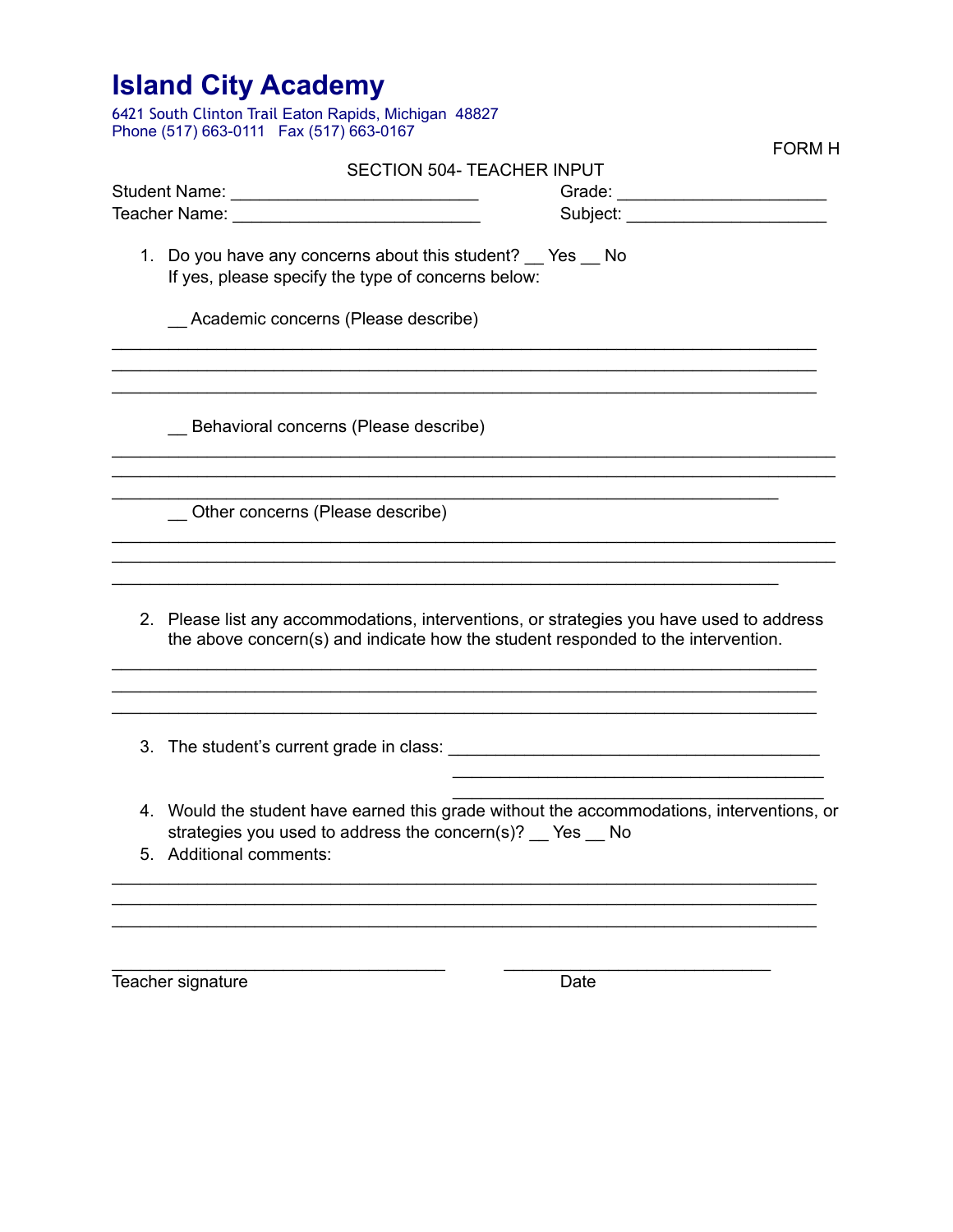| <b>Island City Academy</b><br>6421 South Clinton Trail Eaton Rapids, Michigan 48827<br>Phone (517) 663-0111  Fax (517) 663-0167<br><b>FORM H</b>                                    |
|-------------------------------------------------------------------------------------------------------------------------------------------------------------------------------------|
| <b>SECTION 504- TEACHER INPUT</b>                                                                                                                                                   |
| Grade: _________________________                                                                                                                                                    |
| Teacher Name: <u>________________________________</u>                                                                                                                               |
| 1. Do you have any concerns about this student? Yes No<br>If yes, please specify the type of concerns below:                                                                        |
| _ Academic concerns (Please describe)                                                                                                                                               |
| Behavioral concerns (Please describe)                                                                                                                                               |
| Other concerns (Please describe)                                                                                                                                                    |
| 2. Please list any accommodations, interventions, or strategies you have used to address<br>the above concern(s) and indicate how the student responded to the intervention.        |
| 3. The student's current grade in class:                                                                                                                                            |
| 4. Would the student have earned this grade without the accommodations, interventions, or<br>strategies you used to address the concern(s)? __ Yes __ No<br>5. Additional comments: |
|                                                                                                                                                                                     |

\_\_\_\_\_\_\_\_\_\_\_\_\_\_\_\_\_\_\_\_\_\_\_\_\_\_\_\_\_\_\_\_\_\_\_ \_\_\_\_\_\_\_\_\_\_\_\_\_\_\_\_\_\_\_\_\_\_\_\_\_\_\_\_

Teacher signature Date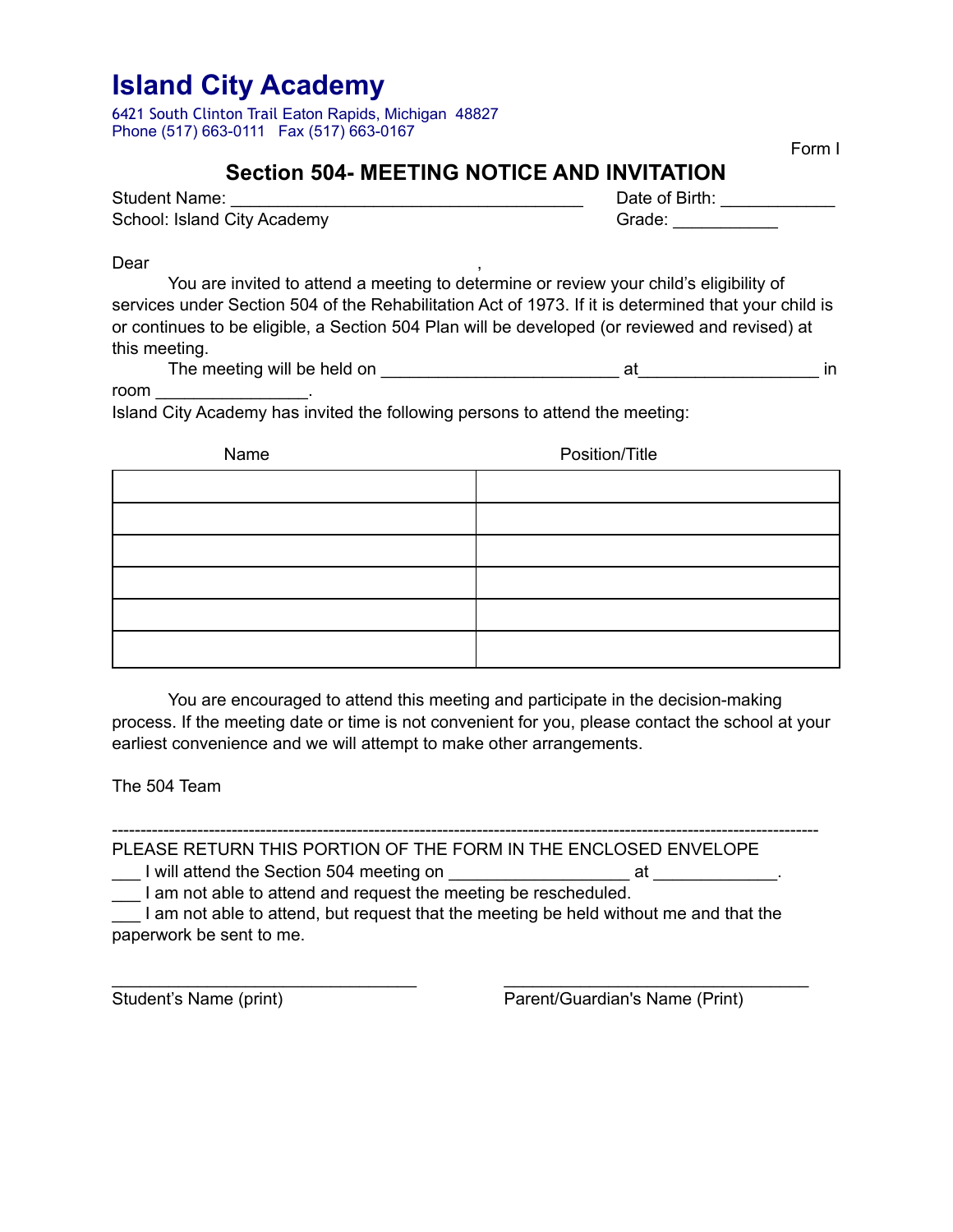6421 South Clinton Trail Eaton Rapids, Michigan 48827 Phone (517) 663-0111 Fax (517) 663-0167

Form I

### **Section 504- MEETING NOTICE AND INVITATION**

| Student Name:               | Date of Birth: |
|-----------------------------|----------------|
| School: Island City Academy | Grade:         |

Dear ,

You are invited to attend a meeting to determine or review your child's eligibility of services under Section 504 of the Rehabilitation Act of 1973. If it is determined that your child is or continues to be eligible, a Section 504 Plan will be developed (or reviewed and revised) at this meeting.

The meeting will be held on the same state of the state of the state of the state of the state of the state of the state of the state of the state of the state of the state of the state of the state of the state of the sta

room \_\_\_\_\_\_\_\_\_\_\_\_\_\_\_\_.

Island City Academy has invited the following persons to attend the meeting:

| Name | Position/Title |
|------|----------------|
|      |                |
|      |                |
|      |                |
|      |                |
|      |                |
|      |                |

 You are encouraged to attend this meeting and participate in the decision-making process. If the meeting date or time is not convenient for you, please contact the school at your earliest convenience and we will attempt to make other arrangements.

The 504 Team

---------------------------------------------------------------------------------------------------------------------------- PLEASE RETURN THIS PORTION OF THE FORM IN THE ENCLOSED ENVELOPE

L will attend the Section 504 meeting on **EXALC 2018** at

\_\_\_ I am not able to attend and request the meeting be rescheduled.

\_\_\_ I am not able to attend, but request that the meeting be held without me and that the paperwork be sent to me.

\_\_\_\_\_\_\_\_\_\_\_\_\_\_\_\_\_\_\_\_\_\_\_\_\_\_\_\_\_\_\_\_ \_\_\_\_\_\_\_\_\_\_\_\_\_\_\_\_\_\_\_\_\_\_\_\_\_\_\_\_\_\_\_\_ Student's Name (print) Parent/Guardian's Name (Print)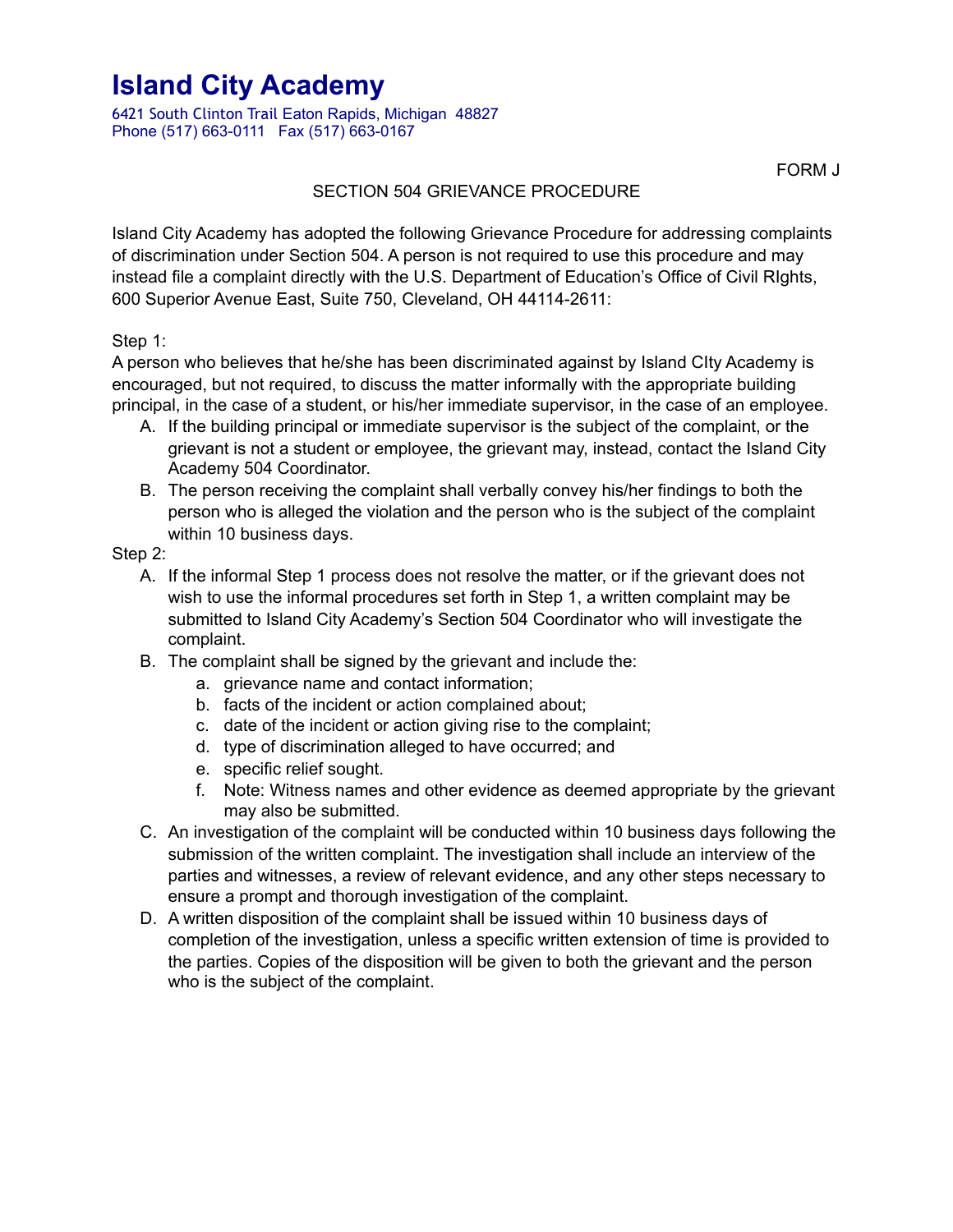6421 South Clinton Trail Eaton Rapids, Michigan 48827 Phone (517) 663-0111 Fax (517) 663-0167

FORM J

### SECTION 504 GRIEVANCE PROCEDURE

Island City Academy has adopted the following Grievance Procedure for addressing complaints of discrimination under Section 504. A person is not required to use this procedure and may instead file a complaint directly with the U.S. Department of Education's Office of Civil RIghts, 600 Superior Avenue East, Suite 750, Cleveland, OH 44114-2611:

Step 1:

A person who believes that he/she has been discriminated against by Island CIty Academy is encouraged, but not required, to discuss the matter informally with the appropriate building principal, in the case of a student, or his/her immediate supervisor, in the case of an employee.

- A. If the building principal or immediate supervisor is the subject of the complaint, or the grievant is not a student or employee, the grievant may, instead, contact the Island City Academy 504 Coordinator.
- B. The person receiving the complaint shall verbally convey his/her findings to both the person who is alleged the violation and the person who is the subject of the complaint within 10 business days.

### Step 2:

- A. If the informal Step 1 process does not resolve the matter, or if the grievant does not wish to use the informal procedures set forth in Step 1, a written complaint may be submitted to Island City Academy's Section 504 Coordinator who will investigate the complaint.
- B. The complaint shall be signed by the grievant and include the:
	- a. grievance name and contact information;
	- b. facts of the incident or action complained about;
	- c. date of the incident or action giving rise to the complaint;
	- d. type of discrimination alleged to have occurred; and
	- e. specific relief sought.
	- f. Note: Witness names and other evidence as deemed appropriate by the grievant may also be submitted.
- C. An investigation of the complaint will be conducted within 10 business days following the submission of the written complaint. The investigation shall include an interview of the parties and witnesses, a review of relevant evidence, and any other steps necessary to ensure a prompt and thorough investigation of the complaint.
- D. A written disposition of the complaint shall be issued within 10 business days of completion of the investigation, unless a specific written extension of time is provided to the parties. Copies of the disposition will be given to both the grievant and the person who is the subject of the complaint.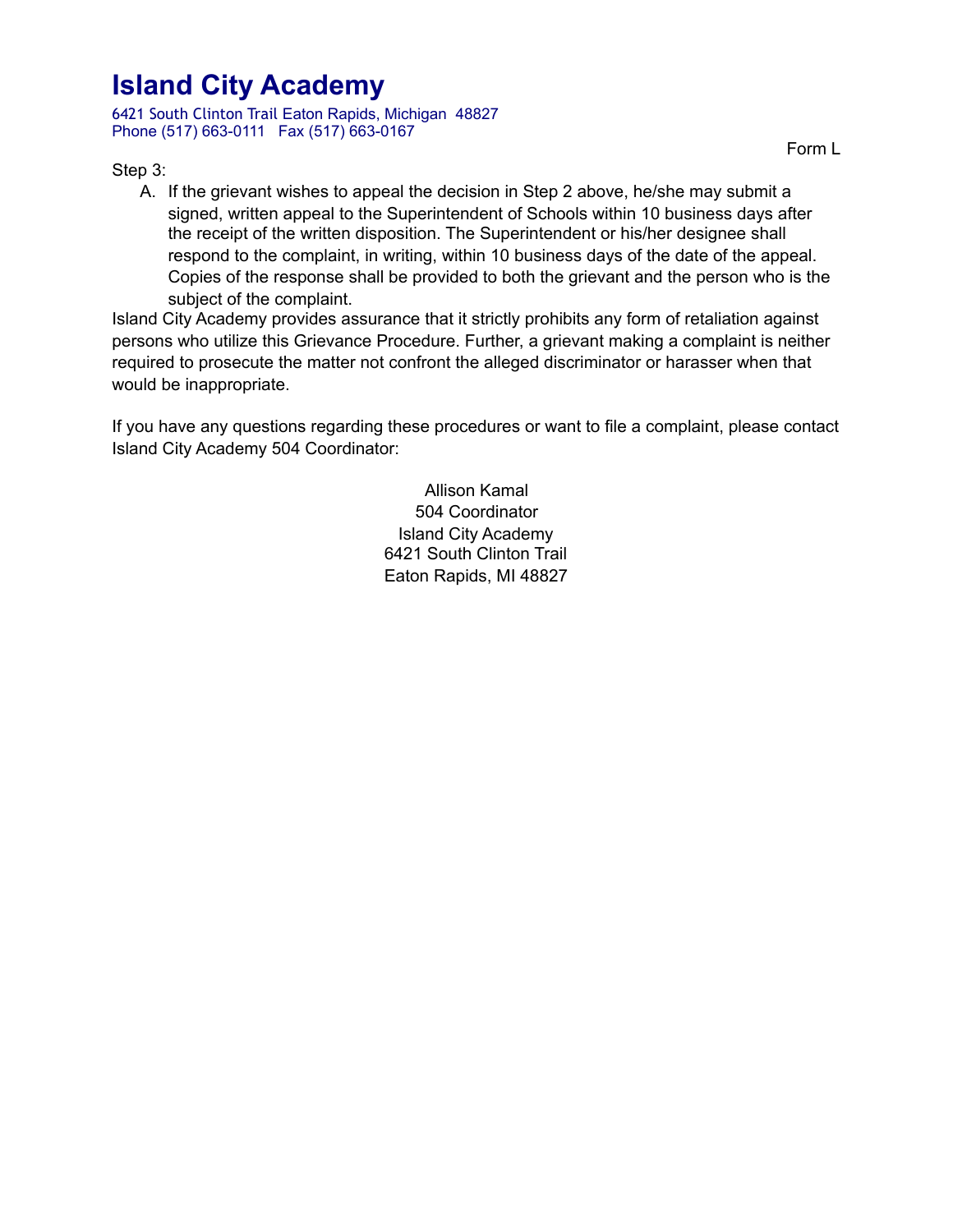6421 South Clinton Trail Eaton Rapids, Michigan 48827 Phone (517) 663-0111 Fax (517) 663-0167

Step 3:

Form L

A. If the grievant wishes to appeal the decision in Step 2 above, he/she may submit a signed, written appeal to the Superintendent of Schools within 10 business days after the receipt of the written disposition. The Superintendent or his/her designee shall respond to the complaint, in writing, within 10 business days of the date of the appeal. Copies of the response shall be provided to both the grievant and the person who is the subject of the complaint.

Island City Academy provides assurance that it strictly prohibits any form of retaliation against persons who utilize this Grievance Procedure. Further, a grievant making a complaint is neither required to prosecute the matter not confront the alleged discriminator or harasser when that would be inappropriate.

If you have any questions regarding these procedures or want to file a complaint, please contact Island City Academy 504 Coordinator:

> Allison Kamal 504 Coordinator Island City Academy 6421 South Clinton Trail Eaton Rapids, MI 48827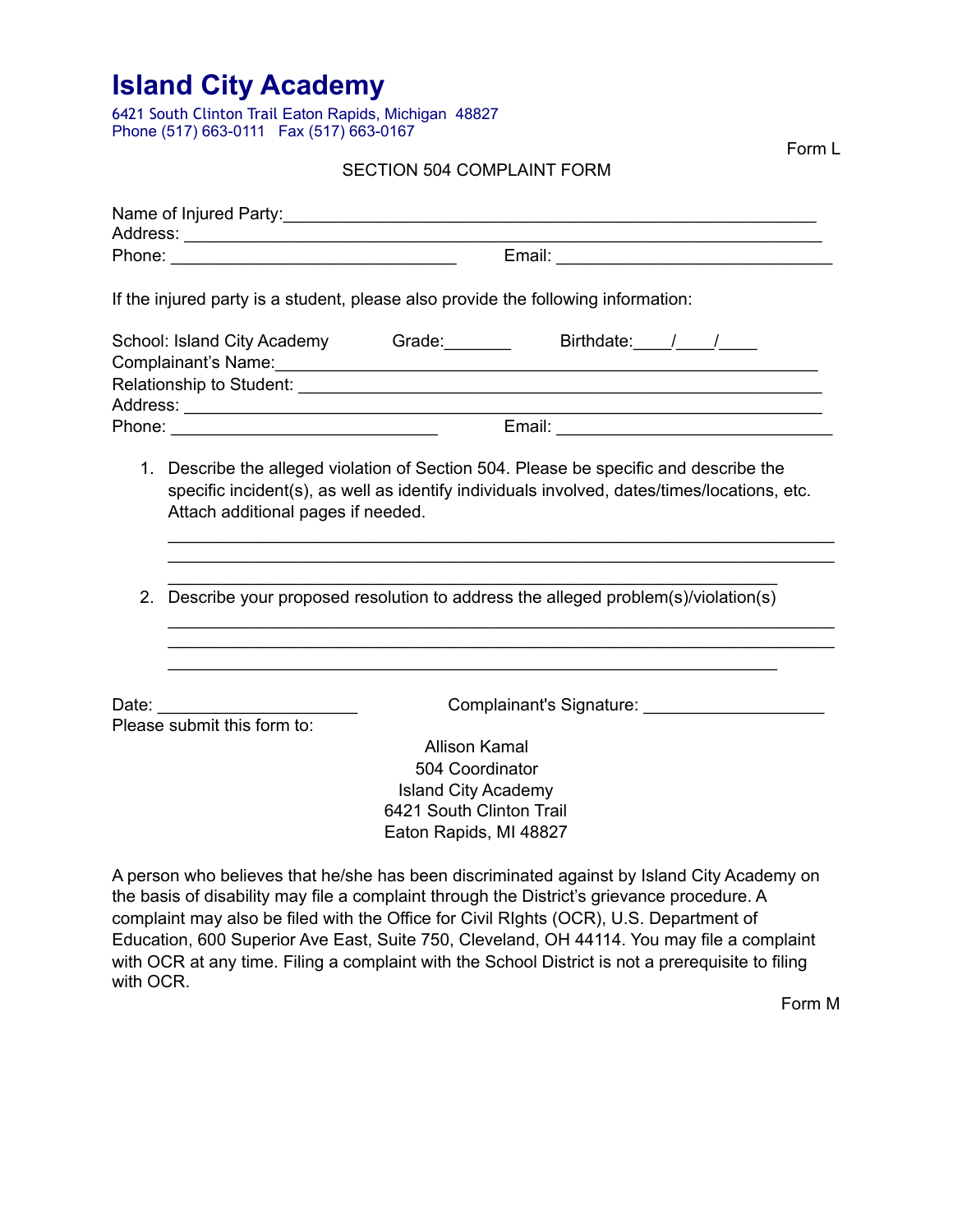6421 South Clinton Trail Eaton Rapids, Michigan 48827 Phone (517) 663-0111 Fax (517) 663-0167

SECTION 504 COMPLAINT FORM

|                                          | If the injured party is a student, please also provide the following information:                                                                                                               |
|------------------------------------------|-------------------------------------------------------------------------------------------------------------------------------------------------------------------------------------------------|
|                                          | School: Island City Academy Grade: ________ Birthdate: ____/ ____/                                                                                                                              |
|                                          |                                                                                                                                                                                                 |
|                                          |                                                                                                                                                                                                 |
| Attach additional pages if needed.<br>2. | Describe your proposed resolution to address the alleged problem(s)/violation(s)                                                                                                                |
|                                          |                                                                                                                                                                                                 |
| Please submit this form to:              |                                                                                                                                                                                                 |
|                                          | <b>Allison Kamal</b><br>504 Coordinator<br><b>Island City Academy</b>                                                                                                                           |
|                                          | 6421 South Clinton Trail<br>Eaton Rapids, MI 48827                                                                                                                                              |
|                                          | A person who believes that he/she has been discriminated against by Island City Academy on<br>the hasis of disability may file a complaint through the District's grievance procedure $\Lambda$ |

the basis of disability may file a complaint through the District's grievance procedure. A complaint may also be filed with the Office for Civil RIghts (OCR), U.S. Department of Education, 600 Superior Ave East, Suite 750, Cleveland, OH 44114. You may file a complaint with OCR at any time. Filing a complaint with the School District is not a prerequisite to filing with OCR.

Form M

Form L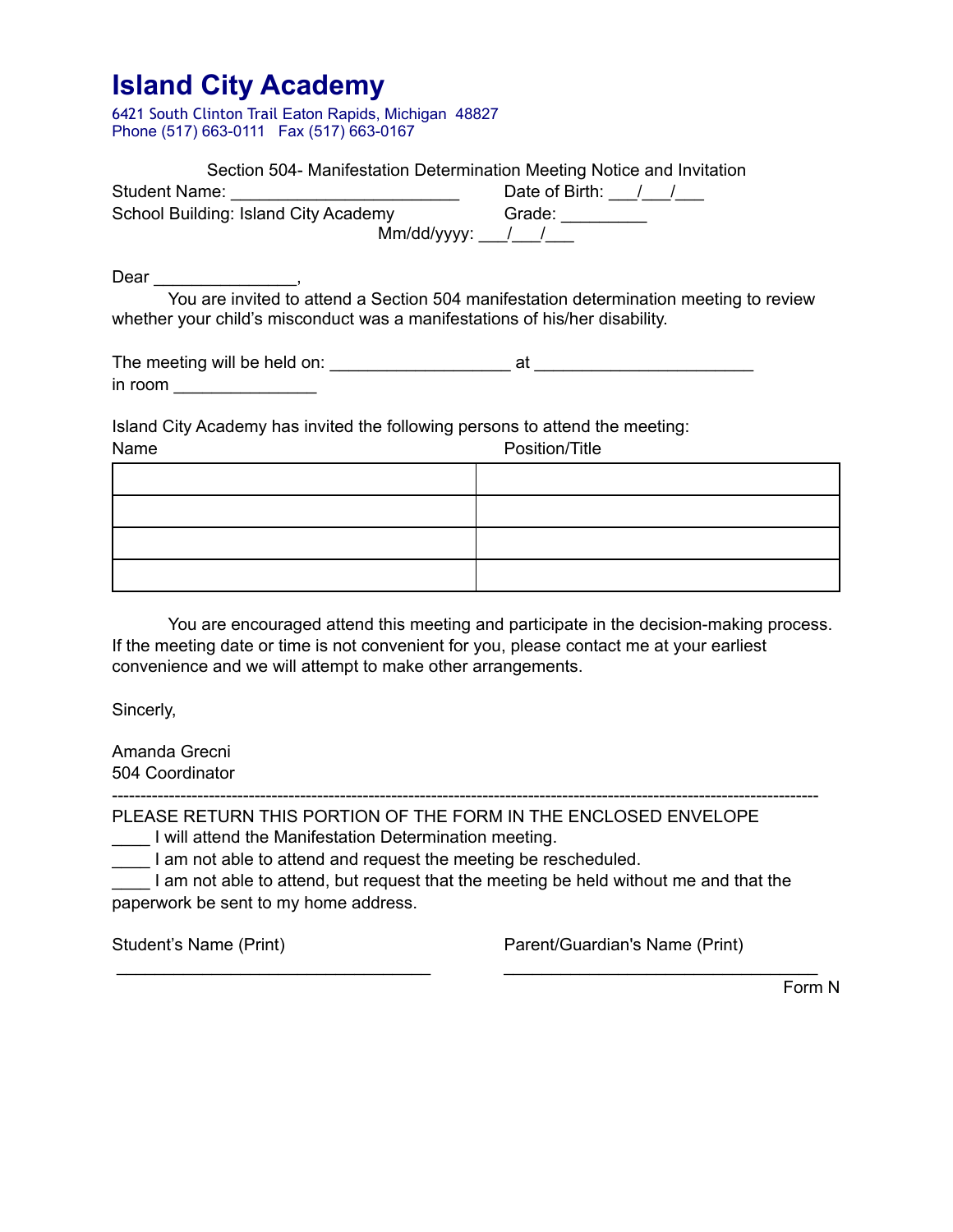6421 South Clinton Trail Eaton Rapids, Michigan 48827 Phone (517) 663-0111 Fax (517) 663-0167

|                                                                                                                                                                      | Section 504- Manifestation Determination Meeting Notice and Invitation |
|----------------------------------------------------------------------------------------------------------------------------------------------------------------------|------------------------------------------------------------------------|
|                                                                                                                                                                      |                                                                        |
|                                                                                                                                                                      |                                                                        |
|                                                                                                                                                                      |                                                                        |
|                                                                                                                                                                      |                                                                        |
| You are invited to attend a Section 504 manifestation determination meeting to review<br>whether your child's misconduct was a manifestations of his/her disability. |                                                                        |
| in room $\sqrt{a^2 + b^2 + c^2 + c^2 + c^2}$                                                                                                                         |                                                                        |
| Island City Academy has invited the following persons to attend the meeting:<br>Name                                                                                 | Position/Title                                                         |
|                                                                                                                                                                      |                                                                        |
|                                                                                                                                                                      |                                                                        |
|                                                                                                                                                                      |                                                                        |
|                                                                                                                                                                      |                                                                        |
|                                                                                                                                                                      |                                                                        |

 You are encouraged attend this meeting and participate in the decision-making process. If the meeting date or time is not convenient for you, please contact me at your earliest convenience and we will attempt to make other arrangements.

Sincerly,

Amanda Grecni 504 Coordinator

---------------------------------------------------------------------------------------------------------------------------- PLEASE RETURN THIS PORTION OF THE FORM IN THE ENCLOSED ENVELOPE

\_\_\_\_ I will attend the Manifestation Determination meeting.

I am not able to attend and request the meeting be rescheduled.

\_\_\_\_ I am not able to attend, but request that the meeting be held without me and that the paperwork be sent to my home address.

 $\overline{\phantom{a}}$  , and the set of the set of the set of the set of the set of the set of the set of the set of the set of the set of the set of the set of the set of the set of the set of the set of the set of the set of the s

Student's Name (Print) **Parent/Guardian's Name (Print)** 

Form N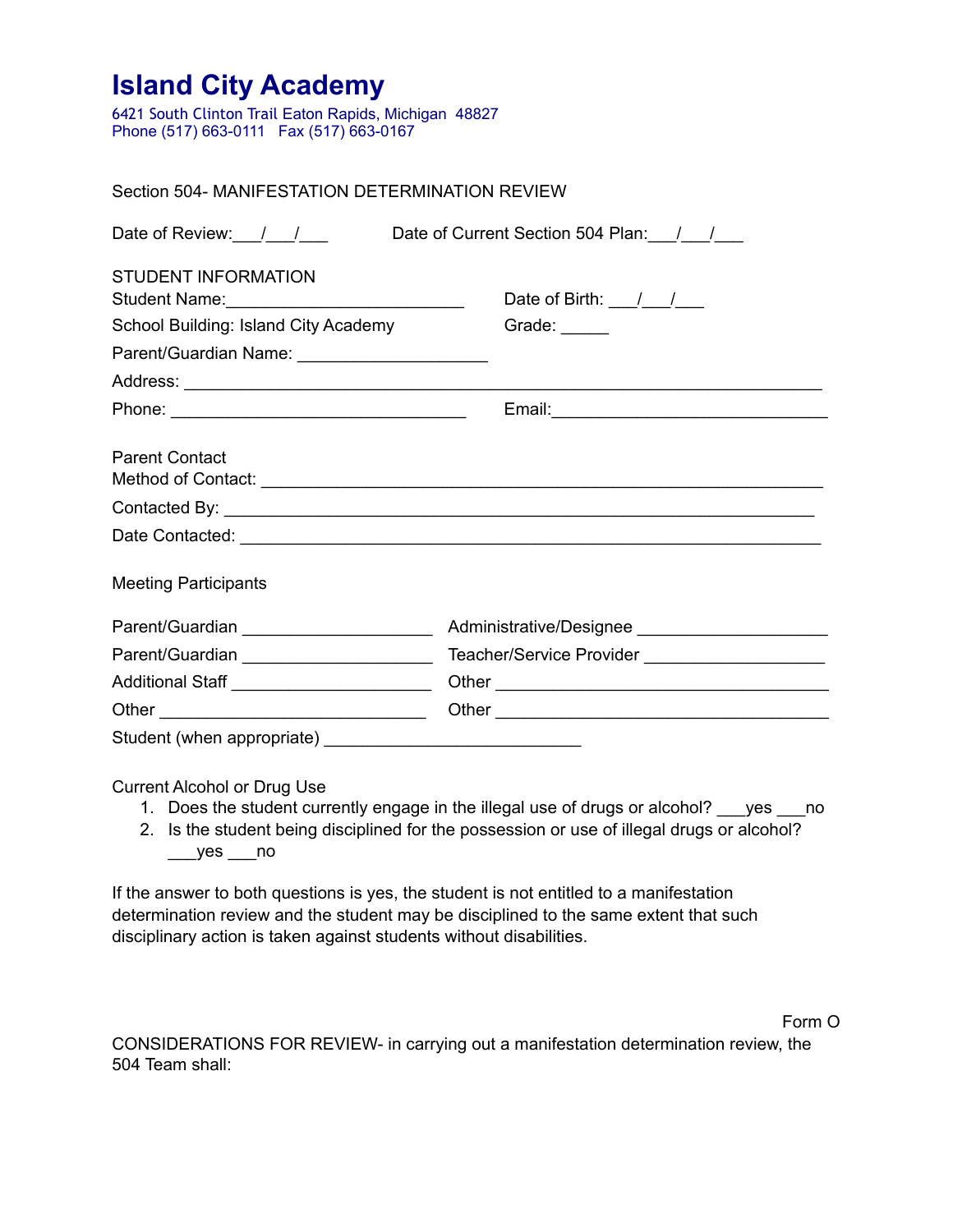6421 South Clinton Trail Eaton Rapids, Michigan 48827 Phone (517) 663-0111 Fax (517) 663-0167

### Section 504- MANIFESTATION DETERMINATION REVIEW

| Date of Review: $1/2$                          | Date of Current Section 504 Plan: / /                   |  |  |
|------------------------------------------------|---------------------------------------------------------|--|--|
| <b>STUDENT INFORMATION</b>                     | Date of Birth: $\frac{1}{\sqrt{2}}$                     |  |  |
| School Building: Island City Academy           | Grade: $\frac{1}{\sqrt{1-\frac{1}{2}}\cdot\frac{1}{2}}$ |  |  |
| Parent/Guardian Name: ________________________ |                                                         |  |  |
|                                                |                                                         |  |  |
|                                                |                                                         |  |  |
| <b>Parent Contact</b>                          |                                                         |  |  |
|                                                |                                                         |  |  |
|                                                |                                                         |  |  |
| <b>Meeting Participants</b>                    |                                                         |  |  |
| Parent/Guardian _____________________          | Administrative/Designee ______________________          |  |  |
| Parent/Guardian ______________________         | Teacher/Service Provider _____________________          |  |  |
| Additional Staff ________________________      |                                                         |  |  |
|                                                |                                                         |  |  |
|                                                |                                                         |  |  |
|                                                |                                                         |  |  |

Current Alcohol or Drug Use

- 1. Does the student currently engage in the illegal use of drugs or alcohol? ves no
- 2. Is the student being disciplined for the possession or use of illegal drugs or alcohol?  $__yes__no$

If the answer to both questions is yes, the student is not entitled to a manifestation determination review and the student may be disciplined to the same extent that such disciplinary action is taken against students without disabilities.

Form O

CONSIDERATIONS FOR REVIEW- in carrying out a manifestation determination review, the 504 Team shall: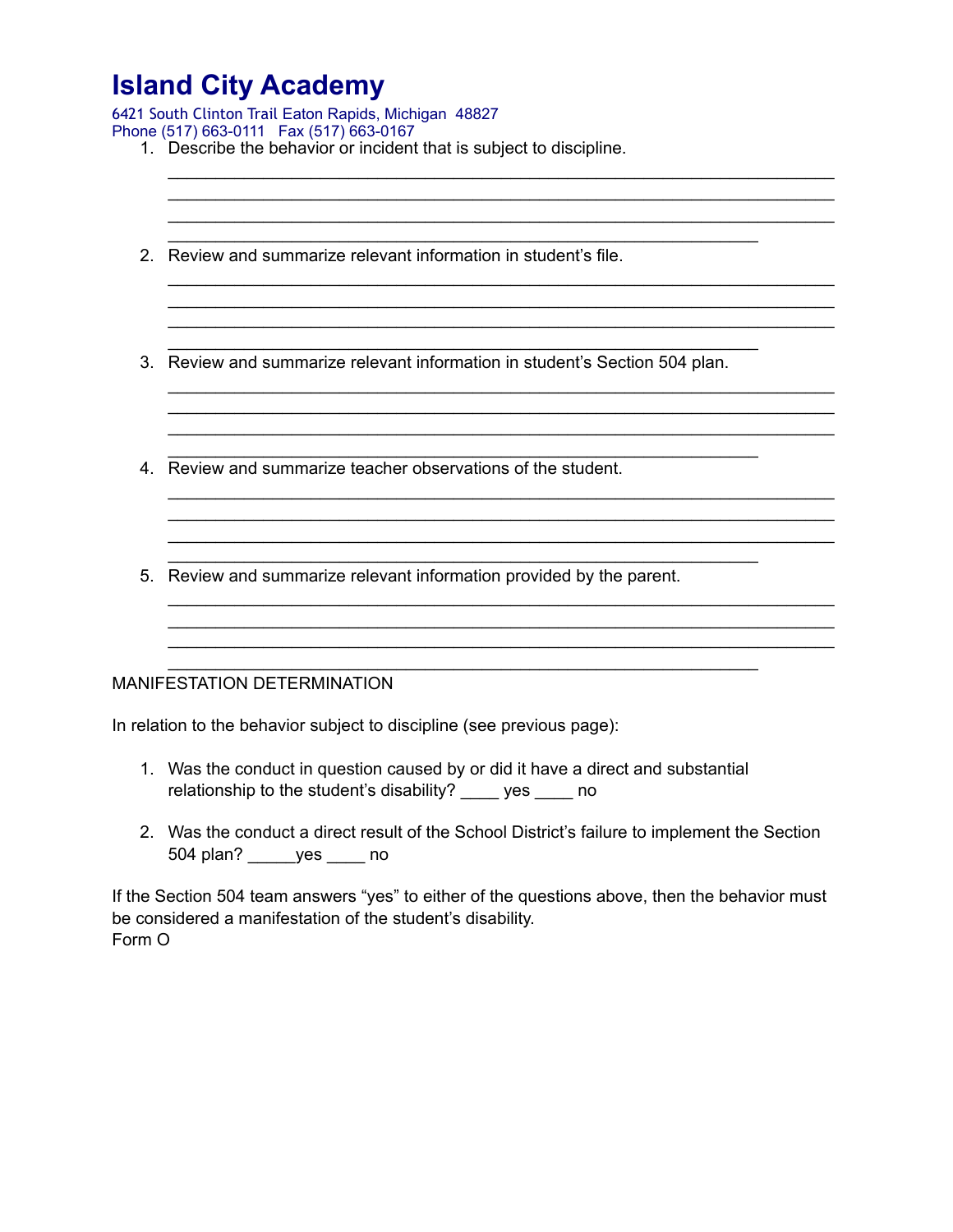6421 South Clinton Trail Eaton Rapids, Michigan 48827

|  |  |  | Phone (517) 663-0111  Fax (517) 663-0167 |
|--|--|--|------------------------------------------|
|--|--|--|------------------------------------------|

- 1. Describe the behavior or incident that is subject to discipline.
- 2. Review and summarize relevant information in student's file.

3. Review and summarize relevant information in student's Section 504 plan.

\_\_\_\_\_\_\_\_\_\_\_\_\_\_\_\_\_\_\_\_\_\_\_\_\_\_\_\_\_\_\_\_\_\_\_\_\_\_\_\_\_\_\_\_\_\_\_\_\_\_\_\_\_\_\_\_\_\_\_\_\_\_\_\_\_\_\_\_\_\_

\_\_\_\_\_\_\_\_\_\_\_\_\_\_\_\_\_\_\_\_\_\_\_\_\_\_\_\_\_\_\_\_\_\_\_\_\_\_\_\_\_\_\_\_\_\_\_\_\_\_\_\_\_\_\_\_\_\_\_\_\_\_\_\_\_\_\_\_\_\_ \_\_\_\_\_\_\_\_\_\_\_\_\_\_\_\_\_\_\_\_\_\_\_\_\_\_\_\_\_\_\_\_\_\_\_\_\_\_\_\_\_\_\_\_\_\_\_\_\_\_\_\_\_\_\_\_\_\_\_\_\_\_\_\_\_\_\_\_\_\_ \_\_\_\_\_\_\_\_\_\_\_\_\_\_\_\_\_\_\_\_\_\_\_\_\_\_\_\_\_\_\_\_\_\_\_\_\_\_\_\_\_\_\_\_\_\_\_\_\_\_\_\_\_\_\_\_\_\_\_\_\_\_\_\_\_\_\_\_\_\_

\_\_\_\_\_\_\_\_\_\_\_\_\_\_\_\_\_\_\_\_\_\_\_\_\_\_\_\_\_\_\_\_\_\_\_\_\_\_\_\_\_\_\_\_\_\_\_\_\_\_\_\_\_\_\_\_\_\_\_\_\_\_\_\_\_\_\_\_\_\_ \_\_\_\_\_\_\_\_\_\_\_\_\_\_\_\_\_\_\_\_\_\_\_\_\_\_\_\_\_\_\_\_\_\_\_\_\_\_\_\_\_\_\_\_\_\_\_\_\_\_\_\_\_\_\_\_\_\_\_\_\_\_\_\_\_\_\_\_\_\_ \_\_\_\_\_\_\_\_\_\_\_\_\_\_\_\_\_\_\_\_\_\_\_\_\_\_\_\_\_\_\_\_\_\_\_\_\_\_\_\_\_\_\_\_\_\_\_\_\_\_\_\_\_\_\_\_\_\_\_\_\_\_\_\_\_\_\_\_\_\_

\_\_\_\_\_\_\_\_\_\_\_\_\_\_\_\_\_\_\_\_\_\_\_\_\_\_\_\_\_\_\_\_\_\_\_\_\_\_\_\_\_\_\_\_\_\_\_\_\_\_\_\_\_\_\_\_\_\_\_\_\_\_\_\_\_\_\_\_\_\_ \_\_\_\_\_\_\_\_\_\_\_\_\_\_\_\_\_\_\_\_\_\_\_\_\_\_\_\_\_\_\_\_\_\_\_\_\_\_\_\_\_\_\_\_\_\_\_\_\_\_\_\_\_\_\_\_\_\_\_\_\_\_\_\_\_\_\_\_\_\_

\_\_\_\_\_\_\_\_\_\_\_\_\_\_\_\_\_\_\_\_\_\_\_\_\_\_\_\_\_\_\_\_\_\_\_\_\_\_\_\_\_\_\_\_\_\_\_\_\_\_\_\_\_\_\_\_\_\_\_\_\_\_\_\_\_\_\_\_\_\_ \_\_\_\_\_\_\_\_\_\_\_\_\_\_\_\_\_\_\_\_\_\_\_\_\_\_\_\_\_\_\_\_\_\_\_\_\_\_\_\_\_\_\_\_\_\_\_\_\_\_\_\_\_\_\_\_\_\_\_\_\_\_\_\_\_\_\_\_\_\_ \_\_\_\_\_\_\_\_\_\_\_\_\_\_\_\_\_\_\_\_\_\_\_\_\_\_\_\_\_\_\_\_\_\_\_\_\_\_\_\_\_\_\_\_\_\_\_\_\_\_\_\_\_\_\_\_\_\_\_\_\_\_\_\_\_\_\_\_\_\_

\_\_\_\_\_\_\_\_\_\_\_\_\_\_\_\_\_\_\_\_\_\_\_\_\_\_\_\_\_\_\_\_\_\_\_\_\_\_\_\_\_\_\_\_\_\_\_\_\_\_\_\_\_\_\_\_\_\_\_\_\_\_\_\_\_\_\_\_\_\_

\_\_\_\_\_\_\_\_\_\_\_\_\_\_\_\_\_\_\_\_\_\_\_\_\_\_\_\_\_\_\_\_\_\_\_\_\_\_\_\_\_\_\_\_\_\_\_\_\_\_\_\_\_\_\_\_\_\_\_\_\_\_\_\_\_\_\_\_\_\_

\_\_\_\_\_\_\_\_\_\_\_\_\_\_\_\_\_\_\_\_\_\_\_\_\_\_\_\_\_\_\_\_\_\_\_\_\_\_\_\_\_\_\_\_\_\_\_\_\_\_\_\_\_\_\_\_\_\_\_\_\_\_

\_\_\_\_\_\_\_\_\_\_\_\_\_\_\_\_\_\_\_\_\_\_\_\_\_\_\_\_\_\_\_\_\_\_\_\_\_\_\_\_\_\_\_\_\_\_\_\_\_\_\_\_\_\_\_\_\_\_\_\_\_\_

\_\_\_\_\_\_\_\_\_\_\_\_\_\_\_\_\_\_\_\_\_\_\_\_\_\_\_\_\_\_\_\_\_\_\_\_\_\_\_\_\_\_\_\_\_\_\_\_\_\_\_\_\_\_\_\_\_\_\_\_\_\_

\_\_\_\_\_\_\_\_\_\_\_\_\_\_\_\_\_\_\_\_\_\_\_\_\_\_\_\_\_\_\_\_\_\_\_\_\_\_\_\_\_\_\_\_\_\_\_\_\_\_\_\_\_\_\_\_\_\_\_\_\_\_

\_\_\_\_\_\_\_\_\_\_\_\_\_\_\_\_\_\_\_\_\_\_\_\_\_\_\_\_\_\_\_\_\_\_\_\_\_\_\_\_\_\_\_\_\_\_\_\_\_\_\_\_\_\_\_\_\_\_\_\_\_\_

- 4. Review and summarize teacher observations of the student.
- 5. Review and summarize relevant information provided by the parent.

#### MANIFESTATION DETERMINATION

In relation to the behavior subject to discipline (see previous page):

- 1. Was the conduct in question caused by or did it have a direct and substantial relationship to the student's disability? \_\_\_\_ yes \_\_\_\_ no
- 2. Was the conduct a direct result of the School District's failure to implement the Section 504 plan? \_\_\_\_\_yes \_\_\_\_ no

If the Section 504 team answers "yes" to either of the questions above, then the behavior must be considered a manifestation of the student's disability. Form O